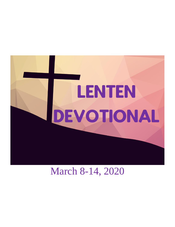

# March 8-14, 2020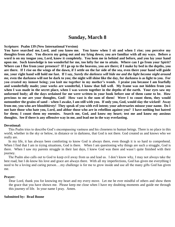# **Sunday, March 8**

#### **Scripture: Psalm 139 (New International Version)**

**You have searched me, Lord, and you know me. You know when I sit and when I rise; you perceive my thoughts from afar. You discern my going out and my lying down; you are familiar with all my ways. Before a word is on my tongue you, Lord, know it completely. You hem me in behind and before, and you lay your hand upon me. Such knowledge is too wonderful for me, too lofty for me to attain. Where can I go from your Spirit? Where can I flee from your presence? If I go up to the heavens, you are there; if I make by bed in the depths, you are there. If I rise on the wings of the dawn, if I settle on the far side of the sea, even there your hand will guide me, your right hand will hold me fast. If I say,** *Surely the darkness will hide me and the light become night around me,* **even the darkness will not be dark to you; the night will shine like the day, for darkness is as light to you. For you created my inmost being; you knit me together in my mother's womb. I praise you because I am fearfully and wonderfully made; your works are wonderful, I know that full well. My frame was not hidden from you when I was made in the secret place, when I was woven together in the depths of the earth. Your eyes saw my unformed body; all the days ordained for me were written in your book before one of them came to be. How precious to me are your thoughts, God! How vast is the sum of them! Were I to count them, they would outnumber the grains of sand – when I awake, I am still with you. If only you, God, would slay the wicked! Away from me, you who are bloodthirsty! They speak of you with evil intent; your adversaries misuse your name. Do I not hate those who hate you, Lord, and abhor those who are in rebellion against you? I have nothing but hatred for them; I count them my enemies. Search me, God, and know my heart; test me and know my anxious thoughts. See if there is any offensive way in me, and lead me in the way everlasting.**

#### **Devotional:**

 This Psalm tries to describe God's encompassing vastness and his closeness to human beings. There is no place in this world, whether in the sky or below, in distance or in darkness, that God is not there. God created us and knows who we really are.

 In my life, it has always been comforting to know God is always there, even though it is so hard to comprehend. When I find that I am in trying situations, God is there. When I am questioning why things are such a struggle, God is there. When I saw my parents struggle in their last days, I knew God was there and wasn't quite finished with their journey.

 The Psalm also calls out to God to keep evil away from us and lead us. I don't know why, I may not always take the best road, but I do know his love and grace are always there. With all my imperfections, God has given me everything I need to be a loving and caring person….my challenge is for me to grow inside and use all the many gifts God has given me.

#### **Prayer:**

Dear Lord, thank you for knowing my heart and my every move. Let me be ever mindful of others and show them the grace that you have shown me. Please keep me close when I have my doubting moments and guide me through this journey of life. In your name I pray. Amen.

#### **Submitted by: Brad Boone**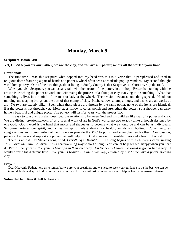# **Monday, March 9**

## **Scripture: Isaiah 64:8**

#### **Yet, O LORD, you are our Father; we are the clay, and you are our potter; we are all the work of your hand.**

#### **Devotional:**

 The first time I read this scripture what popped into my head was this is a verse that is paraphrased and used in religious décor featuring a pair of hands at a potter's wheel often seen at roadside pop-up vendors. My second thought was I love pottery. One of the nice things about living in Stanly County is that Seagrove is a short drive up the road.

 When you visit Seagrove, you can usually talk with the creator of the pottery in the shop. Better than talking with the artisan is watching the potter at work and witnessing the process of a clump of clay evolving into something. What that something is lives in the mind of the man or lady at the wheel. Their vision becomes something special. Hands on molding and shaping brings out the best of that clump of clay. Pitchers, bowls, lamps, mugs, and dishes are all works of art. No two are exactly alike. Even when these pieces are thrown by the same potter, none of the items are identical. But the potter is not through, yet. More steps follow to color, polish and strengthen the pottery so a shopper can carry home a beautiful and unique piece. The pottery will last for years with the proper TLC.

 It is easy to grasp why Isaiah described the relationship between God and his children like that of a potter and clay. We are distinct creations…each of us a special work of art in God's world, no two exactly alike although designed by one God. God's word is the hand that molds and shapes us to become what we should be and can be as individuals. Scripture nurtures our spirit, and a healthy spirit fuels a desire for healthy minds and bodies. Collectively, as congregations and communities of faith, we can provide the *TLC* to polish and strengthen each other. Compassion, patience, kindness and support are pillars that will help fulfill God's vision for beautiful lives and a beautiful world.

 There is an old Ray Stevens song titled, *Everything is Beautiful*. The song begins with a children's choir singing *Jesus Loves the Little Children*. It is a heartwarming way to start a song. You cannot help but feel happy when you hear it. Part of the lyrics is, Everyone is beautiful in their own way. Under God's heaven the world is gonna find a way. I would offer a bit different lyric: *Everyone is beautiful in their own way, Created by our Father like a potter molding clay.*

#### **Prayer:**

 Dear Heavenly Father, help us to remember we are your creations, and we need to seek your guidance to be the best we can be in mind, body and spirit to do your work in your world. If we will ask, you will answer. Help us hear your answer. Amen.

#### **Submitted by: Kim & Jeff Robertson**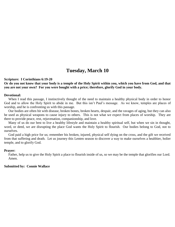# **Tuesday, March 10**

# **Scripture: I Corinthians 6:19-20**

**Or do you not know that your body is a temple of the Holy Spirit within you, which you have from God, and that you are not your own? For you were bought with a price; therefore, glorify God in your body.**

## **Devotional:**

 When I read this passage, I instinctively thought of the need to maintain a healthy physical body in order to honor God and to allow the Holy Spirit to abide in me. But this isn't Paul's message. As we know, temples are places of worship, and he is confronting us with this passage.

 Our bodies are often hit with disease, broken bones, broken hearts, despair, and the ravages of aging, but they can also be used as physical weapons to cause injury to others. This is not what we expect from places of worship. They are there to provide peace, rest, rejuvenation, companionship, and love.

 Many of us do our best to live a healthy lifestyle and maintain a healthy spiritual self, but when we sin in thought, word, or deed, we are disrupting the place God wants the Holy Spirit to flourish. Our bodies belong to God, not to ourselves.

 God paid a high price for us; remember his broken, injured, physical self dying on the cross, and the gift we received from that suffering and death. Let us journey this Lenten season to discover a way to make ourselves a healthier, holier temple, and to glorify God.

# **Prayer:**

 Father, help us to give the Holy Spirit a place to flourish inside of us, so we may be the temple that glorifies our Lord. Amen.

# **Submitted by: Connie Wallace**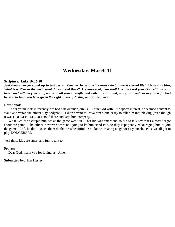# **Wednesday, March 11**

## **Scripture: Luke 10:25-28**

**Just then a lawyer stood up to test Jesus.** *Teacher***, he said,** *what must I do to inherit eternal life?* **He said to him,**  *What is written in the law? What do you read there?* **He answered,** *You shall love the Lord your God with all your heart, and with all your soul, and with all your strength, and with all your mind; and your neighbor as yourself.* **And he said to him,** *You have given the right answer; do this, and you will live.*

#### **Devotional:**

 At our youth lock-in recently, we had a newcomer join us. A quiet kid with little sports interest, he seemed content to stand and watch the others play dodgeball. I didn't want to leave him alone or try to talk him into playing (even though it was DODGEBALL), so I stood there and kept him company.

We talked for a couple minutes as the game went on. That kid was smart and so fun to talk to\* that I almost forgot about the game. The others, however, were not going to let him stand idle, so they kept gently encouraging him to join the game. And, he did. To see them do that was beautiful. You know, treating neighbor as yourself. Plus, we all got to play DODGEBALL.

\*All those kids are smart and fun to talk to.

# **Prayer:**

Dear God, thank you for loving us. Amen.

**Submitted by: Jim Hesley**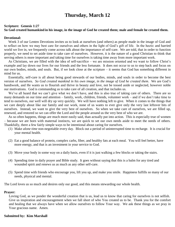# **Thursday, March 12**

# **Scripture: Genesis 1:27 So God created humankind in his image, in the image of God he created them; male and female he created them.**

# **Devotional:**

 Week 3 of our Lenten Devotions invites us to look at ourselves (and others) as people made in the image of God and to reflect on how we may best care for ourselves and others in the light of God's gift of life. In the hectic and harried world we live in, we frequently come across talk about the importance of self-care. We are told, that in order to function properly, we need to set aside time to take care of ourselves. However, it is the nature of a good Christian to think that serving others is more important and taking time for ourselves is taking time away from more important work.

 As Christians, we are filled with the idea of self-sacrifice – we are mission oriented and we want to follow Christ's example and lay down our lives for our friends and the less fortunate. It does not occur to us to step back and focus on our own bodies, minds, and souls. But, if we look close at the scripture – it seems that God has something different in mind for us.

 Essentially, self-care is all about being good stewards of our bodies, minds, and souls in order to become the best version of ourselves. *So God created mankind in his own image, in the image of God he created them*. We are God's handiwork, and He wants us to flourish and thrive in beauty and love, not be tossed aside or neglected, however noble our motivations. God is commanding us to take care of all creation, and that includes us.

 We've all heard that we can't give what we don't have, and this is also true of taking care of others. There are so many demands on our time and attention – family, work, children, friends, volunteer work – and if we don't take time to tend to ourselves, our well will dry up very quickly. We will have nothing left to give. When it comes to the things that we care deeply about like our family and our work, none of us wants to ever give only the very last leftover bits of ourselves. Instead, we want to give the very best of ourselves. So when we take care of ourselves, we are filled up, renewed, and restored so we can offer the Lord and the people around us the very best of who we are.

 As so often happens, things are much more easily said, than actually put into action. This is especially true of women – because we are born with maternal instincts, we are quick to set our own needs aside to meet the needs of others. Thankfully, there a few fairly simple ways to be intentional about caring for ourselves.

- (1) Make *alone time* non-negotiable every day. Block out a period of uninterrupted time to recharge. It is crucial for your mental health.
- (2) Eat a good balance of protein, complex carbs, fiber, and healthy fats at each meal. You will feel better, have more energy, and that is an investment in your service to God.
- (3) Move your body in some way on a daily basis, even if it is just walking a few blocks or taking the stairs.
- (4) Spending time in daily prayer and Bible study. It goes without saying that this is a balm for any tired and wounded spirit and renews us as much as any other self-care.
- (5) Spend time with friends who encourage you, lift you up, and make you smile. Happiness fulfills so many of our needs, physical and mental.

The Lord loves us so much and desires only our good, and this means stewarding our whole health.

## **Prayer:**

Loving God, as we ponder the wonderful creation that is us, lead us to know that caring for ourselves is not selfish. Give us inspiration and encouragement when we fall short of who You created us to be. Thank you for the comfort and healing that we always have when we allow ourselves to follow Your way. We ask these things as we pray in Your gracious name. Amen.

# **Submitted by: Kim Marshall**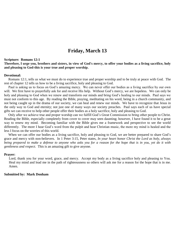# **Friday, March 13**

#### **Scripture: Romans 12:1**

# **Therefore, I urge you, brothers and sisters, in view of God's mercy, to offer your bodies as a living sacrifice, holy and pleasing to God-this is your true and proper worship.**

## **Devotional:**

 Romans 12:1, tells us what we must do to experience true and proper worship and to be truly at peace with God. The rest of chapter 12 tells us how to be a living sacrifice, holy and pleasing to God.

 Paul is asking us to focus on God's amazing mercy. We can never offer our bodies as a living sacrifice by our own will. We first have to prayerfully ask for and receive His help. Without God's mercy, we are hopeless. We can only be holy and pleasing to God when we renew and transform our minds and bring God's healing to our minds. Paul says we must not conform to this age. By reading the Bible, praying, meditating on his word, being in a church community, and not being caught up in the drama of our society, we can heal and renew our minds. We have to recognize that Jesus in the only way to God and eternity; not just one of many ways our society preaches. Paul says each of us have special gifts we can receive to help other people offer their bodies as a holy sacrifice, holy and pleasing to God.

 Only after we achieve true and proper worship can we fulfill God's Great Commission to bring other people to Christ. Reading the Bible, especially completely from cover to cover may seen daunting; however, I have found it to be a great way to renew my mind. Becoming familiar with the Bible gives me a framework and perspective to see the world differently. The more I hear God's word from the pulpit and hear Christian music, the more my mind is healed and the less I focus on the worries of this world.

 When we can offer our bodies as a living sacrifice, holy and pleasing to God, we are better prepared to share God's grace and mercy with non-believers. In 1 Peter 3:15, Peter states, *In your heart honor Christ the Lord as holy, always being prepared to make a defense to anyone who asks you for a reason for the hope that is in you, yet do it with gentleness and respect.* This is an amazing gift to give anyone.

# **Prayer:**

Lord, thank you for your word, grace, and mercy. Accept my body as a living sacrifice holy and pleasing to You. Heal my mind and lead me in the path of righteousness so others will ask me for a reason for the hope that is in me. Amen.

## **Submitted by: Mark Donham**